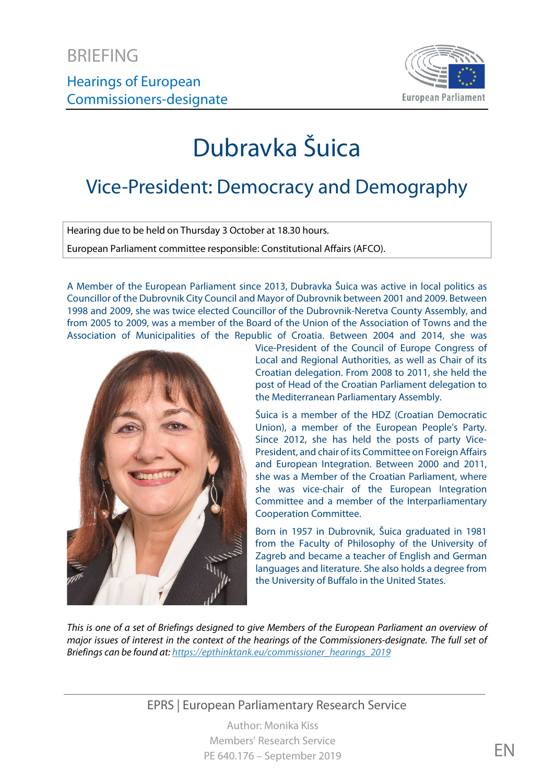

# Dubravka Šuica

## Vice-President: Democracy and Demography

Hearing due to be held on Thursday 3 October at 18.30 hours.

European Parliament committee responsible: Constitutional Affairs (AFCO).

A Member of the European Parliament since 2013, Dubravka Šuica was active in local politics as Councillor of the Dubrovnik City Council and Mayor of Dubrovnik between 2001 and 2009. Between 1998 and 2009, she was twice elected Councillor of the Dubrovnik-Neretva County Assembly, and from 2005 to 2009, was a member of the Board of the Union of the Association of Towns and the Association of Municipalities of the Republic of Croatia. Between 2004 and 2014, she was



Vice-President of the Council of Europe Congress of Local and Regional Authorities, as well as Chair of its Croatian delegation. From 2008 to 2011, she held the post of Head of the Croatian Parliament delegation to the Mediterranean Parliamentary Assembly.

Šuica is a member of the HDZ (Croatian Democratic Union), a member of the European People's Party. Since 2012, she has held the posts of party Vice-President, and chair of its Committee on Foreign Affairs and European Integration. Between 2000 and 2011, she was a Member of the Croatian Parliament, where she was vice-chair of the European Integration Committee and a member of the Interparliamentary Cooperation Committee.

Born in 1957 in Dubrovnik, Šuica graduated in 1981 from the Faculty of Philosophy of the University of Zagreb and became a teacher of English and German languages and literature. She also holds a degree from the University of Buffalo in the United States.

*This is one of a set of Briefings designed to give Members of the European Parliament an overview of major issues of interest in the context of the hearings of the Commissioners-designate. The full set of Briefings can be found at[: https://epthinktank.eu/commissioner\\_hearings\\_2019](https://epthinktank.eu/commissioner_hearings_2019)*

EPRS | European Parliamentary Research Service

Author: Monika Kiss Members' Research Service PE 640.176 – September 2019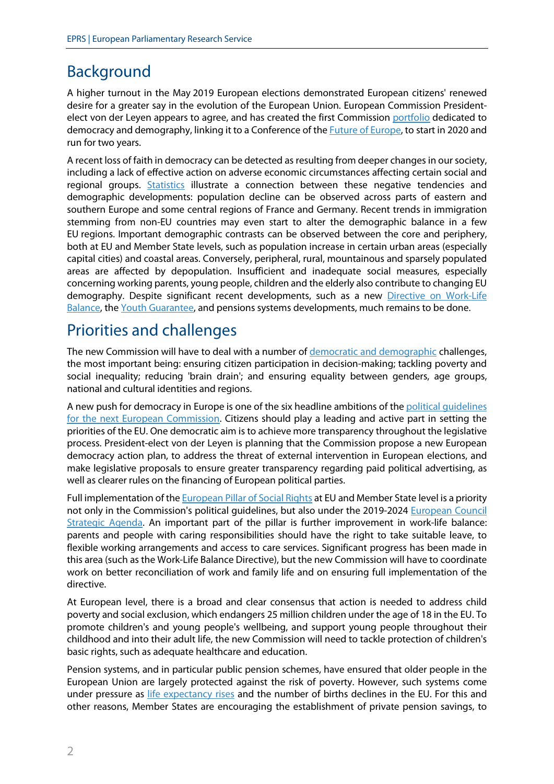### Background

A higher turnout in the May 2019 European elections demonstrated European citizens' renewed desire for a greater say in the evolution of the European Union. European Commission Presidentelect von der Leyen appears to agree, and has created the first Commission [portfolio](https://ec.europa.eu/commission/presscorner/detail/en/IP_19_5542) dedicated to democracy and demography, linking it to a Conference of th[e Future of Europe,](https://ec.europa.eu/commission/priorities/democratic-change/future-europe/white-paper-future-europe_en) to start in 2020 and run for two years.

A recent loss of faith in democracy can be detected as resulting from deeper changes in our society, including a lack of effective action on adverse economic circumstances affecting certain social and regional groups. [Statistics](https://ec.europa.eu/eurostat/documents/3217494/9210140/KS-HA-18-001-EN-N.pdf/655a00cc-6789-4b0c-9d6d-eda24d412188) illustrate a connection between these negative tendencies and demographic developments: population decline can be observed across parts of eastern and southern Europe and some central regions of France and Germany. Recent trends in immigration stemming from non-EU countries may even start to alter the demographic balance in a few EU regions. Important demographic contrasts can be observed between the core and periphery, both at EU and Member State levels, such as population increase in certain urban areas (especially capital cities) and coastal areas. Conversely, peripheral, rural, mountainous and sparsely populated areas are affected by depopulation. Insufficient and inadequate social measures, especially concerning working parents, young people, children and the elderly also contribute to changing EU demography. Despite significant recent developments, such as a new [Directive on Work-Life](https://eur-lex.europa.eu/legal-content/EN/TXT/?uri=CELEX:32019L1158)  [Balance,](https://eur-lex.europa.eu/legal-content/EN/TXT/?uri=CELEX:32019L1158) the [Youth Guarantee,](https://ec.europa.eu/social/main.jsp?catId=1079) and pensions systems developments, much remains to be done.

#### Priorities and challenges

The new Commission will have to deal with a number of [democratic and demographic](https://ec.europa.eu/commission/sites/beta-political/files/mission-letter-dubravka-suica_en.pdf) challenges, the most important being: ensuring citizen participation in decision-making; tackling poverty and social inequality; reducing 'brain drain'; and ensuring equality between genders, age groups, national and cultural identities and regions.

A new push for democracy in Europe is one of the six headline ambitions of th[e political guidelines](https://ec.europa.eu/commission/interim#political-guidelines)  [for the next European Commission.](https://ec.europa.eu/commission/interim#political-guidelines) Citizens should play a leading and active part in setting the priorities of the EU. One democratic aim is to achieve more transparency throughout the legislative process. President-elect von der Leyen is planning that the Commission propose a new European democracy action plan, to address the threat of external intervention in European elections, and make legislative proposals to ensure greater transparency regarding paid political advertising, as well as clearer rules on the financing of European political parties.

Full implementation of th[e European Pillar of Social Rights](https://eur-lex.europa.eu/legal-content/EN/TXT/?uri=CELEX%3A32017C1213%2801%29) at EU and Member State level is a priority not only in the Commission's political guidelines, but also under the 2019-2024 [European Council](https://www.consilium.europa.eu/en/eu-strategic-agenda-2019-2024/)  [Strategic Agenda.](https://www.consilium.europa.eu/en/eu-strategic-agenda-2019-2024/) An important part of the pillar is further improvement in work-life balance: parents and people with caring responsibilities should have the right to take suitable leave, to flexible working arrangements and access to care services. Significant progress has been made in this area (such as the Work-Life Balance Directive), but the new Commission will have to coordinate work on better reconciliation of work and family life and on ensuring full implementation of the directive.

At European level, there is a broad and clear consensus that action is needed to address child poverty and social exclusion, which endangers 25 million children under the age of 18 in the EU. To promote children's and young people's wellbeing, and support young people throughout their childhood and into their adult life, the new Commission will need to tackle protection of children's basic rights, such as adequate healthcare and education.

Pension systems, and in particular public pension schemes, have ensured that older people in the European Union are largely protected against the risk of poverty. However, such systems come under pressure as [life expectancy rises](https://ec.europa.eu/info/publications/economy-finance/2018-ageing-report-economic-and-budgetary-projections-eu-member-states-2016-2070_en) and the number of births declines in the EU. For this and other reasons, Member States are encouraging the establishment of private pension savings, to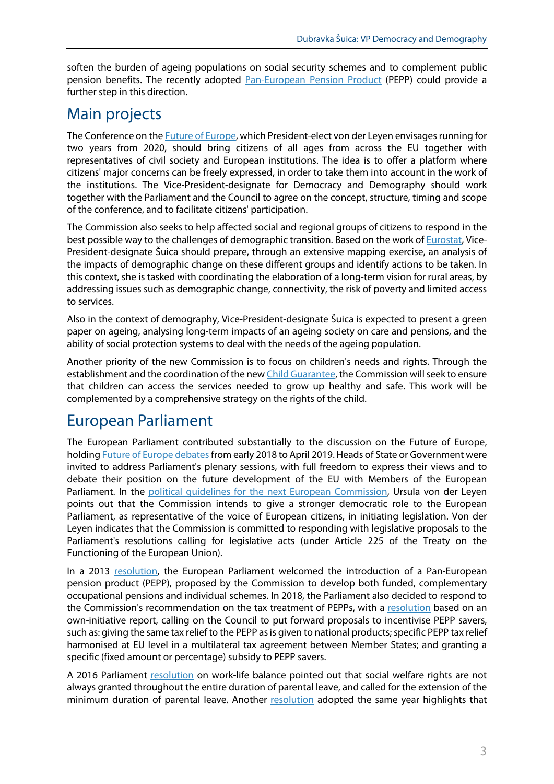soften the burden of ageing populations on social security schemes and to complement public pension benefits. The recently adopted [Pan-European Pension Product](https://eur-lex.europa.eu/legal-content/EN/TXT/?uri=CELEX:32019R1238) (PEPP) could provide a further step in this direction.

#### Main projects

The Conference on the [Future of Europe,](https://ec.europa.eu/commission/priorities/democratic-change/future-europe/white-paper-future-europe_en) which President-elect von der Leyen envisages running for two years from 2020, should bring citizens of all ages from across the EU together with representatives of civil society and European institutions. The idea is to offer a platform where citizens' major concerns can be freely expressed, in order to take them into account in the work of the institutions. The Vice-President-designate for Democracy and Demography should work together with the Parliament and the Council to agree on the concept, structure, timing and scope of the conference, and to facilitate citizens' participation.

The Commission also seeks to help affected social and regional groups of citizens to respond in the best possible way to the challenges of demographic transition. Based on the work o[f Eurostat,](https://ec.europa.eu/eurostat/home?) Vice-President-designate Šuica should prepare, through an extensive mapping exercise, an analysis of the impacts of demographic change on these different groups and identify actions to be taken. In this context, she is tasked with coordinating the elaboration of a long-term vision for rural areas, by addressing issues such as demographic change, connectivity, the risk of poverty and limited access to services.

Also in the context of demography, Vice-President-designate Šuica is expected to present a green paper on ageing, analysing long-term impacts of an ageing society on care and pensions, and the ability of social protection systems to deal with the needs of the ageing population.

Another priority of the new Commission is to focus on children's needs and rights. Through the establishment and the coordination of the ne[w Child Guarantee,](https://ec.europa.eu/social/BlobServlet?docId=20728&langId=en) the Commission will seek to ensure that children can access the services needed to grow up healthy and safe. This work will be complemented by a comprehensive strategy on the rights of the child.

## European Parliament

The European Parliament contributed substantially to the discussion on the Future of Europe, holdin[g Future of Europe debatesf](https://www.europarl.europa.eu/RegData/etudes/IDAN/2019/637948/EPRS_IDA(2019)637948_EN.pdf)rom early 2018 to April 2019. Heads of State or Government were invited to address Parliament's plenary sessions, with full freedom to express their views and to debate their position on the future development of the EU with Members of the European Parliament. In the political quidelines for the next European Commission, Ursula von der Leyen points out that the Commission intends to give a stronger democratic role to the European Parliament, as representative of the voice of European citizens, in initiating legislation. Von der Leyen indicates that the Commission is committed to responding with legislative proposals to the Parliament's resolutions calling for legislative acts (under Article 225 of the Treaty on the Functioning of the European Union).

In a 2013 [resolution,](https://www.europarl.europa.eu/sides/getDoc.do?type=TA&language=EN&reference=P7-TA-2013-204) the European Parliament welcomed the introduction of a Pan-European pension product (PEPP), proposed by the Commission to develop both funded, complementary occupational pensions and individual schemes. In 2018, the Parliament also decided to respond to the Commission's recommendation on the tax treatment of PEPPs, with a [resolution](https://www.europarl.europa.eu/doceo/document/TA-8-2019-0358_EN.html) based on an own-initiative report, calling on the Council to put forward proposals to incentivise PEPP savers, such as: giving the same tax relief to the PEPP as is given to national products; specific PEPP tax relief harmonised at EU level in a multilateral tax agreement between Member States; and granting a specific (fixed amount or percentage) subsidy to PEPP savers.

A 2016 Parliament [resolution](https://www.europarl.europa.eu/doceo/document/TA-8-2016-0338_EN.html?redirect) on work-life balance pointed out that social welfare rights are not always granted throughout the entire duration of parental leave, and called for the extension of the minimum duration of parental leave. Another [resolution](http://www.europarl.europa.eu/doceo/document/TA-8-2016-0312_EN.html?redirect) adopted the same year highlights that